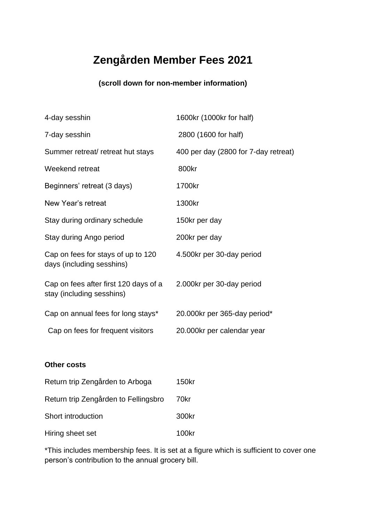## **Zengården Member Fees 2021**

#### **(scroll down for non-member information)**

| 4-day sesshin                                                      | 1600kr (1000kr for half)             |
|--------------------------------------------------------------------|--------------------------------------|
| 7-day sesshin                                                      | 2800 (1600 for half)                 |
| Summer retreat/ retreat hut stays                                  | 400 per day (2800 for 7-day retreat) |
| Weekend retreat                                                    | 800kr                                |
| Beginners' retreat (3 days)                                        | 1700kr                               |
| New Year's retreat                                                 | 1300kr                               |
| Stay during ordinary schedule                                      | 150kr per day                        |
| Stay during Ango period                                            | 200kr per day                        |
| Cap on fees for stays of up to 120<br>days (including sesshins)    | 4.500kr per 30-day period            |
| Cap on fees after first 120 days of a<br>stay (including sesshins) | 2.000kr per 30-day period            |
| Cap on annual fees for long stays*                                 | 20.000kr per 365-day period*         |
| Cap on fees for frequent visitors                                  | 20.000kr per calendar year           |
|                                                                    |                                      |

#### **Other costs**

| Return trip Zengården to Arboga      | 150kr |
|--------------------------------------|-------|
| Return trip Zengården to Fellingsbro | 70kr  |
| Short introduction                   | 300kr |
| Hiring sheet set                     | 100kr |

\*This includes membership fees. It is set at a figure which is sufficient to cover one person's contribution to the annual grocery bill.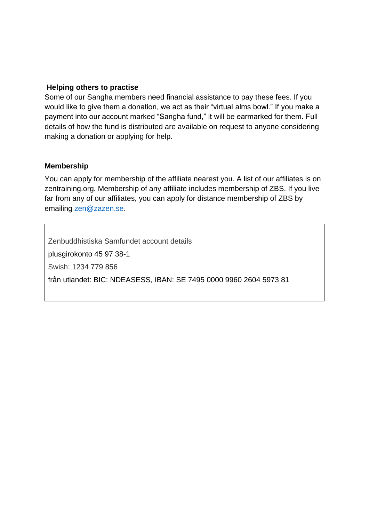#### **Helping others to practise**

Some of our Sangha members need financial assistance to pay these fees. If you would like to give them a donation, we act as their "virtual alms bowl." If you make a payment into our account marked "Sangha fund," it will be earmarked for them. Full details of how the fund is distributed are available on request to anyone considering making a donation or applying for help.

#### **Membership**

You can apply for membership of the affiliate nearest you. A list of our affiliates is on zentraining.org. Membership of any affiliate includes membership of ZBS. If you live far from any of our affiliates, you can apply for distance membership of ZBS by emailing [zen@zazen.se.](mailto:zen@zazen.se)

Zenbuddhistiska Samfundet account details plusgirokonto 45 97 38-1 Swish: 1234 779 856 från utlandet: BIC: NDEASESS, IBAN: SE 7495 0000 9960 2604 5973 81